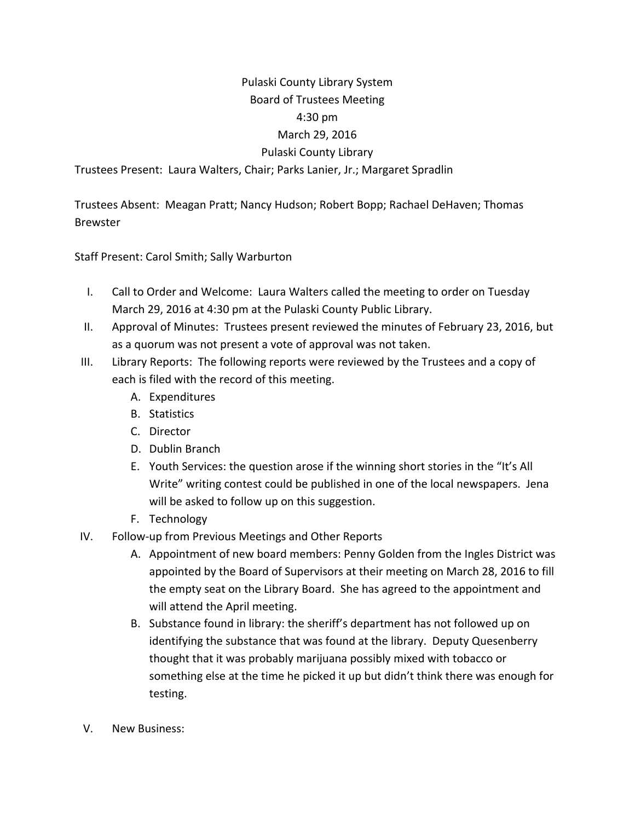## Pulaski County Library System Board of Trustees Meeting 4:30 pm March 29, 2016 Pulaski County Library

Trustees Present: Laura Walters, Chair; Parks Lanier, Jr.; Margaret Spradlin

Trustees Absent: Meagan Pratt; Nancy Hudson; Robert Bopp; Rachael DeHaven; Thomas Brewster

Staff Present: Carol Smith; Sally Warburton

- I. Call to Order and Welcome: Laura Walters called the meeting to order on Tuesday March 29, 2016 at 4:30 pm at the Pulaski County Public Library.
- II. Approval of Minutes: Trustees present reviewed the minutes of February 23, 2016, but as a quorum was not present a vote of approval was not taken.
- III. Library Reports: The following reports were reviewed by the Trustees and a copy of each is filed with the record of this meeting.
	- A. Expenditures
	- B. Statistics
	- C. Director
	- D. Dublin Branch
	- E. Youth Services: the question arose if the winning short stories in the "It's All Write" writing contest could be published in one of the local newspapers. Jena will be asked to follow up on this suggestion.
	- F. Technology
- IV. Follow‐up from Previous Meetings and Other Reports
	- A. Appointment of new board members: Penny Golden from the Ingles District was appointed by the Board of Supervisors at their meeting on March 28, 2016 to fill the empty seat on the Library Board. She has agreed to the appointment and will attend the April meeting.
	- B. Substance found in library: the sheriff's department has not followed up on identifying the substance that was found at the library. Deputy Quesenberry thought that it was probably marijuana possibly mixed with tobacco or something else at the time he picked it up but didn't think there was enough for testing.
- V. New Business: